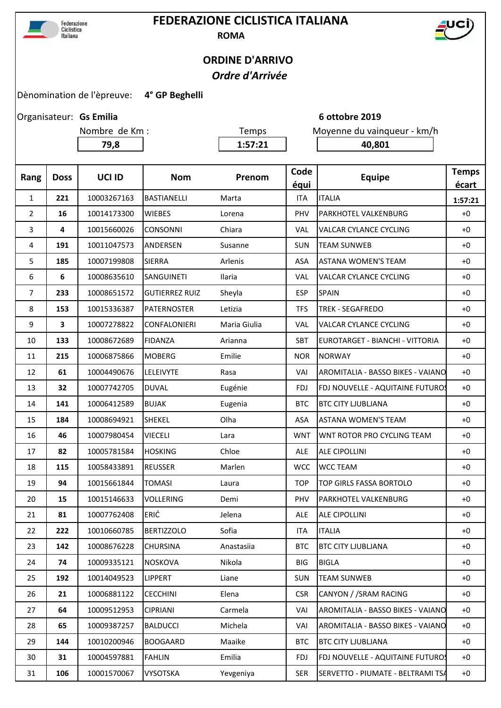

## **FEDERAZIONE CICLISTICA ITALIANA ROMA**



## **ORDINE D'ARRIVO**  *Ordre d'Arrivée*

Dènomination de l'èpreuve: **4° GP Beghelli** 

Organisateur: Gs Emilia

**79,8 1:57:21 40,801**

Nombre de Km : Temps Moyenne du vainqueur - km/h

**Gs Emilia 6 ottobre 2019**

| Rang           | <b>Doss</b> | UCI ID      | <b>Nom</b>            | Prenom        | Code<br>équi | <b>Equipe</b>                            | <b>Temps</b><br>écart |
|----------------|-------------|-------------|-----------------------|---------------|--------------|------------------------------------------|-----------------------|
| 1              | 221         | 10003267163 | <b>BASTIANELLI</b>    | Marta         | <b>ITA</b>   | <b>ITALIA</b>                            | 1:57:21               |
| $\overline{2}$ | 16          | 10014173300 | <b>WIEBES</b>         | Lorena        | PHV          | PARKHOTEL VALKENBURG                     | $+0$                  |
| 3              | 4           | 10015660026 | CONSONNI              | Chiara        | <b>VAL</b>   | <b>VALCAR CYLANCE CYCLING</b>            | $+0$                  |
| 4              | 191         | 10011047573 | ANDERSEN              | Susanne       | <b>SUN</b>   | <b>TEAM SUNWEB</b>                       | $+0$                  |
| 5              | 185         | 10007199808 | <b>SIERRA</b>         | Arlenis       | ASA          | <b>ASTANA WOMEN'S TEAM</b>               |                       |
| 6              | 6           | 10008635610 | <b>SANGUINETI</b>     | <b>Ilaria</b> | <b>VAL</b>   | VALCAR CYLANCE CYCLING                   | $+0$                  |
| $\overline{7}$ | 233         | 10008651572 | <b>GUTIERREZ RUIZ</b> | Sheyla        | <b>ESP</b>   | <b>SPAIN</b>                             | $+0$                  |
| 8              | 153         | 10015336387 | <b>PATERNOSTER</b>    | Letizia       | <b>TFS</b>   | <b>TREK - SEGAFREDO</b>                  | $+0$                  |
| 9              | 3           | 10007278822 | <b>CONFALONIERI</b>   | Maria Giulia  | <b>VAL</b>   | <b>VALCAR CYLANCE CYCLING</b>            | $+0$                  |
| 10             | 133         | 10008672689 | <b>FIDANZA</b>        | Arianna       | SBT          | EUROTARGET - BIANCHI - VITTORIA          | $+0$                  |
| 11             | 215         | 10006875866 | <b>MOBERG</b>         | Emilie        | <b>NOR</b>   | <b>NORWAY</b>                            | $+0$                  |
| 12             | 61          | 10004490676 | LELEIVYTE             | Rasa          | VAI          | AROMITALIA - BASSO BIKES - VAIANO        | $+0$                  |
| 13             | 32          | 10007742705 | <b>DUVAL</b>          | Eugénie       | FDJ.         | FDJ NOUVELLE - AQUITAINE FUTUROS         | $+0$                  |
| 14             | 141         | 10006412589 | <b>BUJAK</b>          | Eugenia       | <b>BTC</b>   | <b>BTC CITY LJUBLJANA</b>                | $+0$                  |
| 15             | 184         | 10008694921 | SHEKEL                | Olha          | ASA          | <b>ASTANA WOMEN'S TEAM</b>               | $+0$                  |
| 16             | 46          | 10007980454 | <b>VIECELI</b>        | Lara          | <b>WNT</b>   | WNT ROTOR PRO CYCLING TEAM               | $+0$                  |
| 17             | 82          | 10005781584 | <b>HOSKING</b>        | Chloe         | ALE          | <b>ALE CIPOLLINI</b>                     | $+0$                  |
| 18             | 115         | 10058433891 | <b>REUSSER</b>        | Marlen        | <b>WCC</b>   | <b>WCC TEAM</b>                          | $+0$                  |
| 19             | 94          | 10015661844 | <b>TOMASI</b>         | Laura         | <b>TOP</b>   | TOP GIRLS FASSA BORTOLO                  | $+0$                  |
| 20             | 15          | 10015146633 | <b>VOLLERING</b>      | Demi          | PHV          | PARKHOTEL VALKENBURG                     | $+0$                  |
| 21             | 81          | 10007762408 | ERIĆ                  | Jelena        | ALE          | <b>ALE CIPOLLINI</b>                     | $+0$                  |
| 22             | 222         | 10010660785 | <b>BERTIZZOLO</b>     | Sofia         | <b>ITA</b>   | <b>ITALIA</b>                            | $+0$                  |
| 23             | 142         | 10008676228 | <b>CHURSINA</b>       | Anastasiia    | <b>BTC</b>   | <b>BTC CITY LJUBLIANA</b>                | $+0$                  |
| 24             | 74          | 10009335121 | <b>NOSKOVA</b>        | Nikola        | <b>BIG</b>   | <b>BIGLA</b>                             | $+0$                  |
| 25             | 192         | 10014049523 | <b>LIPPERT</b>        | Liane         | <b>SUN</b>   | <b>TEAM SUNWEB</b>                       | $+0$                  |
| 26             | 21          | 10006881122 | <b>CECCHINI</b>       | Elena         | <b>CSR</b>   | CANYON / / SRAM RACING                   | $+0$                  |
| 27             | 64          | 10009512953 | <b>CIPRIANI</b>       | Carmela       | VAI          | AROMITALIA - BASSO BIKES - VAIANO        | $+0$                  |
| 28             | 65          | 10009387257 | <b>BALDUCCI</b>       | Michela       | VAI          | <b>AROMITALIA - BASSO BIKES - VAIANO</b> | $+0$                  |
| 29             | 144         | 10010200946 | <b>BOOGAARD</b>       | Maaike        | <b>BTC</b>   | <b>BTC CITY LJUBLJANA</b>                | $+0$                  |
| 30             | 31          | 10004597881 | <b>FAHLIN</b>         | Emilia        | <b>FDJ</b>   | FDJ NOUVELLE - AQUITAINE FUTUROS         | $+0$                  |
| 31             | 106         | 10001570067 | <b>VYSOTSKA</b>       | Yevgeniya     | <b>SER</b>   | SERVETTO - PIUMATE - BELTRAMI TSA        | $+0$                  |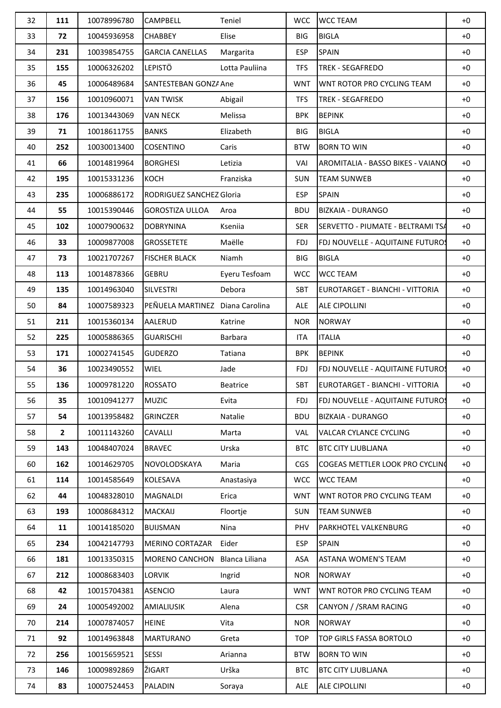| 32 | 111          | 10078996780 | CAMPBELL                        | Teniel          | <b>WCC</b> | <b>WCC TEAM</b>                   | $+0$ |
|----|--------------|-------------|---------------------------------|-----------------|------------|-----------------------------------|------|
| 33 | 72           | 10045936958 | <b>CHABBEY</b>                  | Elise           | <b>BIG</b> | <b>BIGLA</b>                      | $+0$ |
| 34 | 231          | 10039854755 | <b>GARCIA CANELLAS</b>          | Margarita       | <b>ESP</b> | <b>SPAIN</b>                      | $+0$ |
| 35 | 155          | 10006326202 | <b>LEPISTÖ</b>                  | Lotta Pauliina  | <b>TFS</b> | <b>TREK - SEGAFREDO</b>           | $+0$ |
| 36 | 45           | 10006489684 | SANTESTEBAN GONZA Ane           |                 | <b>WNT</b> | WNT ROTOR PRO CYCLING TEAM        | $+0$ |
| 37 | 156          | 10010960071 | <b>VAN TWISK</b>                | Abigail         | <b>TFS</b> | <b>TREK - SEGAFREDO</b>           | $+0$ |
| 38 | 176          | 10013443069 | <b>VAN NECK</b>                 | Melissa         | <b>BPK</b> | <b>BEPINK</b>                     | $+0$ |
| 39 | 71           | 10018611755 | <b>BANKS</b>                    | Elizabeth       | <b>BIG</b> | <b>BIGLA</b>                      | $+0$ |
| 40 | 252          | 10030013400 | <b>COSENTINO</b>                | Caris           | <b>BTW</b> | <b>BORN TO WIN</b>                | $+0$ |
| 41 | 66           | 10014819964 | <b>BORGHESI</b>                 | Letizia         | VAI        | AROMITALIA - BASSO BIKES - VAIANO | $+0$ |
| 42 | 195          | 10015331236 | <b>KOCH</b>                     | Franziska       | <b>SUN</b> | <b>TEAM SUNWEB</b>                | $+0$ |
| 43 | 235          | 10006886172 | RODRIGUEZ SANCHEZ Gloria        |                 | <b>ESP</b> | <b>SPAIN</b>                      | $+0$ |
| 44 | 55           | 10015390446 | <b>GOROSTIZA ULLOA</b>          | Aroa            | <b>BDU</b> | <b>BIZKAIA - DURANGO</b>          | $+0$ |
| 45 | 102          | 10007900632 | <b>DOBRYNINA</b>                | Kseniia         | <b>SER</b> | SERVETTO - PIUMATE - BELTRAMI TSA | $+0$ |
| 46 | 33           | 10009877008 | <b>GROSSETETE</b>               | Maëlle          | <b>FDJ</b> | FDJ NOUVELLE - AQUITAINE FUTUROS  | $+0$ |
| 47 | 73           | 10021707267 | <b>FISCHER BLACK</b>            | Niamh           | <b>BIG</b> | <b>BIGLA</b>                      | $+0$ |
| 48 | 113          | 10014878366 | <b>GEBRU</b>                    | Eyeru Tesfoam   | <b>WCC</b> | <b>WCC TEAM</b>                   | $+0$ |
| 49 | 135          | 10014963040 | <b>SILVESTRI</b>                | Debora          | <b>SBT</b> | EUROTARGET - BIANCHI - VITTORIA   | $+0$ |
| 50 | 84           | 10007589323 | PEÑUELA MARTINEZ Diana Carolina |                 | <b>ALE</b> | <b>ALE CIPOLLINI</b>              | $+0$ |
| 51 | 211          | 10015360134 | <b>AALERUD</b>                  | Katrine         | <b>NOR</b> | <b>NORWAY</b>                     | $+0$ |
| 52 | 225          | 10005886365 | <b>GUARISCHI</b>                | Barbara         | <b>ITA</b> | <b>ITALIA</b>                     | $+0$ |
| 53 | 171          | 10002741545 | <b>GUDERZO</b>                  | Tatiana         | <b>BPK</b> | <b>BEPINK</b>                     | $+0$ |
| 54 | 36           | 10023490552 | WIEL                            | Jade            | <b>FDJ</b> | FDJ NOUVELLE - AQUITAINE FUTUROS  | $+0$ |
| 55 | 136          | 10009781220 | <b>ROSSATO</b>                  | <b>Beatrice</b> | SBT        | EUROTARGET - BIANCHI - VITTORIA   | $+0$ |
| 56 | 35           | 10010941277 | <b>MUZIC</b>                    | Evita           | <b>FDJ</b> | FDJ NOUVELLE - AQUITAINE FUTUROS  | $+0$ |
| 57 | 54           | 10013958482 | <b>GRINCZER</b>                 | Natalie         | <b>BDU</b> | <b>BIZKAIA - DURANGO</b>          | $+0$ |
| 58 | $\mathbf{2}$ | 10011143260 | CAVALLI                         | Marta           | <b>VAL</b> | <b>VALCAR CYLANCE CYCLING</b>     | $+0$ |
| 59 | 143          | 10048407024 | <b>BRAVEC</b>                   | Urska           | <b>BTC</b> | <b>BTC CITY LJUBLJANA</b>         | $+0$ |
| 60 | 162          | 10014629705 | NOVOLODSKAYA                    | Maria           | <b>CGS</b> | COGEAS METTLER LOOK PRO CYCLING   | $+0$ |
| 61 | 114          | 10014585649 | KOLESAVA                        | Anastasiya      | <b>WCC</b> | <b>WCC TEAM</b>                   | $+0$ |
| 62 | 44           | 10048328010 | MAGNALDI                        | Erica           | <b>WNT</b> | WNT ROTOR PRO CYCLING TEAM        | $+0$ |
| 63 | 193          | 10008684312 | <b>MACKAIJ</b>                  | Floortje        | <b>SUN</b> | <b>TEAM SUNWEB</b>                | $+0$ |
| 64 | 11           | 10014185020 | <b>BUIJSMAN</b>                 | Nina            | PHV        | PARKHOTEL VALKENBURG              | $+0$ |
| 65 | 234          | 10042147793 | <b>MERINO CORTAZAR</b>          | Eider           | <b>ESP</b> | <b>SPAIN</b>                      | $+0$ |
| 66 | 181          | 10013350315 | MORENO CANCHON Blanca Liliana   |                 | ASA        | <b>ASTANA WOMEN'S TEAM</b>        | $+0$ |
| 67 | 212          | 10008683403 | <b>LORVIK</b>                   | Ingrid          | <b>NOR</b> | <b>NORWAY</b>                     | $+0$ |
| 68 | 42           | 10015704381 | <b>ASENCIO</b>                  | Laura           | <b>WNT</b> | WNT ROTOR PRO CYCLING TEAM        | $+0$ |
| 69 | 24           | 10005492002 | AMIALIUSIK                      | Alena           | <b>CSR</b> | CANYON / /SRAM RACING             | $+0$ |
| 70 | 214          | 10007874057 | <b>HEINE</b>                    | Vita            | <b>NOR</b> | <b>NORWAY</b>                     | $+0$ |
| 71 | 92           | 10014963848 | <b>MARTURANO</b>                | Greta           | <b>TOP</b> | TOP GIRLS FASSA BORTOLO           | $+0$ |
| 72 | 256          | 10015659521 | <b>SESSI</b>                    | Arianna         | <b>BTW</b> | <b>BORN TO WIN</b>                | $+0$ |
| 73 | 146          | 10009892869 | ŽIGART                          | Urška           | <b>BTC</b> | <b>BTC CITY LJUBLJANA</b>         | $+0$ |
| 74 | 83           | 10007524453 | <b>PALADIN</b>                  | Soraya          | ALE        | <b>ALE CIPOLLINI</b>              | $+0$ |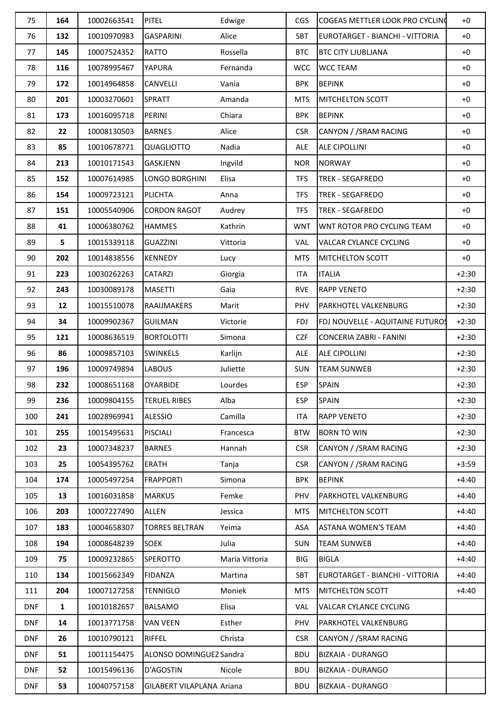| 75         | 164 | 10002663541 | <b>PITEL</b>              | Edwige         | <b>CGS</b> | COGEAS METTLER LOOK PRO CYCLING  | $+0$    |
|------------|-----|-------------|---------------------------|----------------|------------|----------------------------------|---------|
| 76         | 132 | 10010970983 | <b>GASPARINI</b>          | Alice          | <b>SBT</b> | EUROTARGET - BIANCHI - VITTORIA  | $+0$    |
| 77         | 145 | 10007524352 | RATTO                     | Rossella       | <b>BTC</b> | <b>BTC CITY LJUBLJANA</b>        | $+0$    |
| 78         | 116 | 10078995467 | YAPURA                    | Fernanda       | <b>WCC</b> | <b>WCC TEAM</b>                  | $+0$    |
| 79         | 172 | 10014964858 | CANVELLI                  | Vania          | <b>BPK</b> | <b>BEPINK</b>                    | $+0$    |
| 80         | 201 | 10003270601 | <b>SPRATT</b>             | Amanda         | <b>MTS</b> | <b>MITCHELTON SCOTT</b>          | $+0$    |
| 81         | 173 | 10016095718 | PERINI                    | Chiara         | <b>BPK</b> | <b>BEPINK</b>                    | $+0$    |
| 82         | 22  | 10008130503 | <b>BARNES</b>             | Alice          | <b>CSR</b> | CANYON / /SRAM RACING            | $+0$    |
| 83         | 85  | 10010678771 | QUAGLIOTTO                | Nadia          | ALE        | <b>ALE CIPOLLINI</b>             | $+0$    |
| 84         | 213 | 10010171543 | GASKJENN                  | Ingvild        | <b>NOR</b> | <b>NORWAY</b>                    | $+0$    |
| 85         | 152 | 10007614985 | LONGO BORGHINI            | Elisa          | <b>TFS</b> | <b>TREK - SEGAFREDO</b>          | $+0$    |
| 86         | 154 | 10009723121 | PLICHTA                   | Anna           | <b>TFS</b> | <b>TREK - SEGAFREDO</b>          | $+0$    |
| 87         | 151 | 10005540906 | <b>CORDON RAGOT</b>       | Audrey         | <b>TFS</b> | <b>TREK - SEGAFREDO</b>          | $+0$    |
| 88         | 41  | 10006380762 | <b>HAMMES</b>             | Kathrin        | <b>WNT</b> | WNT ROTOR PRO CYCLING TEAM       | $+0$    |
| 89         | 5   | 10015339118 | <b>GUAZZINI</b>           | Vittoria       | VAL        | <b>VALCAR CYLANCE CYCLING</b>    | $+0$    |
| 90         | 202 | 10014838556 | <b>KENNEDY</b>            | Lucy           | <b>MTS</b> | <b>MITCHELTON SCOTT</b>          | $+0$    |
| 91         | 223 | 10030262263 | <b>CATARZI</b>            | Giorgia        | <b>ITA</b> | <b>ITALIA</b>                    | $+2:30$ |
| 92         | 243 | 10030089178 | <b>MASETTI</b>            | Gaia           | <b>RVE</b> | <b>RAPP VENETO</b>               | $+2:30$ |
| 93         | 12  | 10015510078 | <b>RAAIJMAKERS</b>        | Marit          | PHV        | PARKHOTEL VALKENBURG             | $+2:30$ |
| 94         | 34  | 10009902367 | <b>GUILMAN</b>            | Victorie       | <b>FDJ</b> | FDJ NOUVELLE - AQUITAINE FUTUROS | $+2:30$ |
| 95         | 121 | 10008636519 | <b>BORTOLOTTI</b>         | Simona         | <b>CZF</b> | <b>CONCERIA ZABRI - FANINI</b>   | $+2:30$ |
| 96         | 86  | 10009857103 | <b>SWINKELS</b>           | Karlijn        | ALE        | <b>ALE CIPOLLINI</b>             | $+2:30$ |
| 97         | 196 | 10009749894 | <b>LABOUS</b>             | Juliette       | <b>SUN</b> | <b>TEAM SUNWEB</b>               | $+2:30$ |
| 98         | 232 | 10008651168 | <b>OYARBIDE</b>           | Lourdes        | <b>ESP</b> | <b>SPAIN</b>                     | $+2:30$ |
| 99         | 236 | 10009804155 | <b>TERUEL RIBES</b>       | Alba           | <b>ESP</b> | <b>SPAIN</b>                     | $+2:30$ |
| 100        | 241 | 10028969941 | <b>ALESSIO</b>            | Camilla        | <b>ITA</b> | <b>RAPP VENETO</b>               | $+2:30$ |
| 101        | 255 | 10015495631 | <b>PISCIALI</b>           | Francesca      | <b>BTW</b> | <b>BORN TO WIN</b>               | $+2:30$ |
| 102        | 23  | 10007348237 | <b>BARNES</b>             | Hannah         | <b>CSR</b> | CANYON / /SRAM RACING            | $+2:30$ |
| 103        | 25  | 10054395762 | <b>ERATH</b>              | Tanja          | <b>CSR</b> | CANYON / /SRAM RACING            | $+3:59$ |
| 104        | 174 | 10005497254 | <b>FRAPPORTI</b>          | Simona         | <b>BPK</b> | <b>BEPINK</b>                    | $+4:40$ |
| 105        | 13  | 10016031858 | <b>MARKUS</b>             | Femke          | PHV        | PARKHOTEL VALKENBURG             | $+4:40$ |
| 106        | 203 | 10007227490 | <b>ALLEN</b>              | Jessica        | <b>MTS</b> | MITCHELTON SCOTT                 | $+4:40$ |
| 107        | 183 | 10004658307 | <b>TORRES BELTRAN</b>     | Yeima          | ASA        | <b>ASTANA WOMEN'S TEAM</b>       | $+4:40$ |
| 108        | 194 | 10008648239 | <b>SOEK</b>               | Julia          | <b>SUN</b> | <b>TEAM SUNWEB</b>               | $+4:40$ |
| 109        | 75  | 10009232865 | <b>SPEROTTO</b>           | Maria Vittoria | BIG        | <b>BIGLA</b>                     | $+4:40$ |
| 110        | 134 | 10015662349 | <b>FIDANZA</b>            | Martina        | <b>SBT</b> | EUROTARGET - BIANCHI - VITTORIA  | $+4:40$ |
| 111        | 204 | 10007127258 | <b>TENNIGLO</b>           | Moniek         | <b>MTS</b> | MITCHELTON SCOTT                 | $+4:40$ |
| <b>DNF</b> | 1   | 10010182657 | <b>BALSAMO</b>            | Elisa          | <b>VAL</b> | <b>VALCAR CYLANCE CYCLING</b>    |         |
| <b>DNF</b> | 14  | 10013771758 | <b>VAN VEEN</b>           | Esther         | PHV        | PARKHOTEL VALKENBURG             |         |
| <b>DNF</b> | 26  | 10010790121 | RIFFEL                    | Christa        | <b>CSR</b> | CANYON / /SRAM RACING            |         |
| <b>DNF</b> | 51  | 10011154475 | ALONSO DOMINGUEZ Sandra   |                | <b>BDU</b> | <b>BIZKAIA - DURANGO</b>         |         |
| <b>DNF</b> | 52  | 10015496136 | D'AGOSTIN                 | Nicole         | <b>BDU</b> | <b>BIZKAIA - DURANGO</b>         |         |
| <b>DNF</b> | 53  | 10040757158 | GILABERT VILAPLANA Ariana |                | <b>BDU</b> | <b>BIZKAIA - DURANGO</b>         |         |